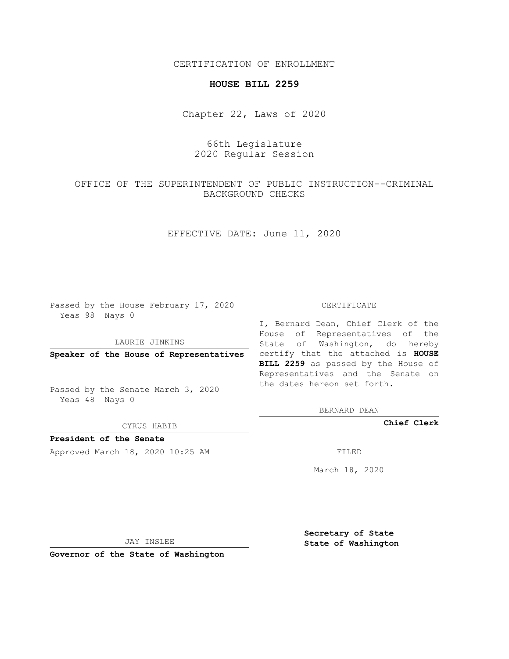CERTIFICATION OF ENROLLMENT

## **HOUSE BILL 2259**

Chapter 22, Laws of 2020

## 66th Legislature 2020 Regular Session

OFFICE OF THE SUPERINTENDENT OF PUBLIC INSTRUCTION--CRIMINAL BACKGROUND CHECKS

EFFECTIVE DATE: June 11, 2020

Passed by the House February 17, 2020 Yeas 98 Nays 0

LAURIE JINKINS

Passed by the Senate March 3, 2020 Yeas 48 Nays 0

CYRUS HABIB

**President of the Senate**

Approved March 18, 2020 10:25 AM FILED

## CERTIFICATE

**Speaker of the House of Representatives** certify that the attached is **HOUSE** I, Bernard Dean, Chief Clerk of the House of Representatives of the State of Washington, do hereby **BILL 2259** as passed by the House of Representatives and the Senate on the dates hereon set forth.

BERNARD DEAN

**Chief Clerk**

March 18, 2020

JAY INSLEE

**Governor of the State of Washington**

**Secretary of State State of Washington**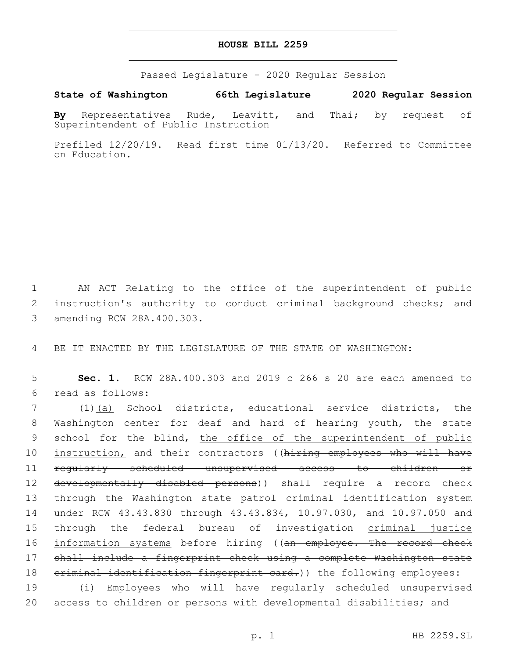## **HOUSE BILL 2259**

Passed Legislature - 2020 Regular Session

**State of Washington 66th Legislature 2020 Regular Session**

**By** Representatives Rude, Leavitt, and Thai; by request of Superintendent of Public Instruction

Prefiled 12/20/19. Read first time 01/13/20. Referred to Committee on Education.

1 AN ACT Relating to the office of the superintendent of public 2 instruction's authority to conduct criminal background checks; and 3 amending RCW 28A.400.303.

4 BE IT ENACTED BY THE LEGISLATURE OF THE STATE OF WASHINGTON:

5 **Sec. 1.** RCW 28A.400.303 and 2019 c 266 s 20 are each amended to read as follows:6

 (1)(a) School districts, educational service districts, the Washington center for deaf and hard of hearing youth, the state 9 school for the blind, the office of the superintendent of public 10 instruction, and their contractors ((hiring employees who will have regularly scheduled unsupervised access to children or 12 <del>developmentally disabled persons</del>)) shall require a record check through the Washington state patrol criminal identification system under RCW 43.43.830 through 43.43.834, 10.97.030, and 10.97.050 and through the federal bureau of investigation criminal justice 16 information systems before hiring ((an employee. The record check shall include a fingerprint check using a complete Washington state 18 criminal identification fingerprint card.)) the following employees: (i) Employees who will have regularly scheduled unsupervised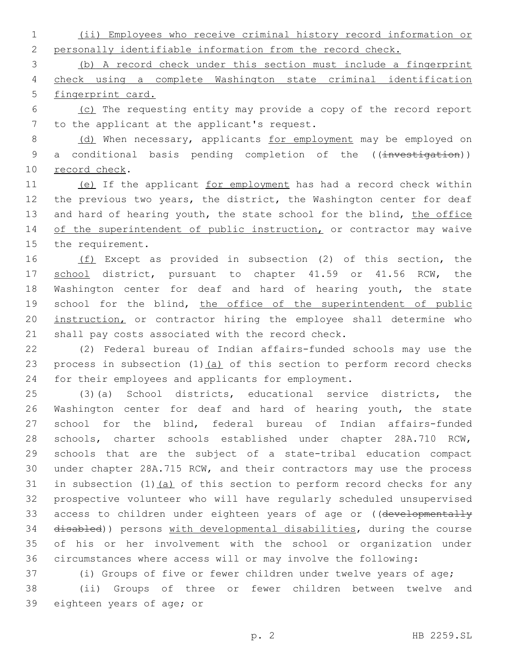1 (ii) Employees who receive criminal history record information or 2 personally identifiable information from the record check.

3 (b) A record check under this section must include a fingerprint 4 check using a complete Washington state criminal identification 5 fingerprint card.

6 (c) The requesting entity may provide a copy of the record report 7 to the applicant at the applicant's request.

8 (d) When necessary, applicants for employment may be employed on 9 a conditional basis pending completion of the ((investigation)) 10 record check.

11 (e) If the applicant for employment has had a record check within 12 the previous two years, the district, the Washington center for deaf 13 and hard of hearing youth, the state school for the blind, the office 14 of the superintendent of public instruction, or contractor may waive 15 the requirement.

16 (f) Except as provided in subsection (2) of this section, the 17 school district, pursuant to chapter 41.59 or 41.56 RCW, the 18 Washington center for deaf and hard of hearing youth, the state 19 school for the blind, the office of the superintendent of public 20 instruction, or contractor hiring the employee shall determine who 21 shall pay costs associated with the record check.

22 (2) Federal bureau of Indian affairs-funded schools may use the 23 process in subsection  $(1)$   $(a)$  of this section to perform record checks 24 for their employees and applicants for employment.

 (3)(a) School districts, educational service districts, the Washington center for deaf and hard of hearing youth, the state school for the blind, federal bureau of Indian affairs-funded schools, charter schools established under chapter 28A.710 RCW, schools that are the subject of a state-tribal education compact under chapter 28A.715 RCW, and their contractors may use the process 31 in subsection  $(1)$   $(a)$  of this section to perform record checks for any prospective volunteer who will have regularly scheduled unsupervised 33 access to children under eighteen years of age or ((developmentally disabled)) persons with developmental disabilities, during the course of his or her involvement with the school or organization under circumstances where access will or may involve the following:

37 (i) Groups of five or fewer children under twelve years of age; 38 (ii) Groups of three or fewer children between twelve and 39 eighteen years of age; or